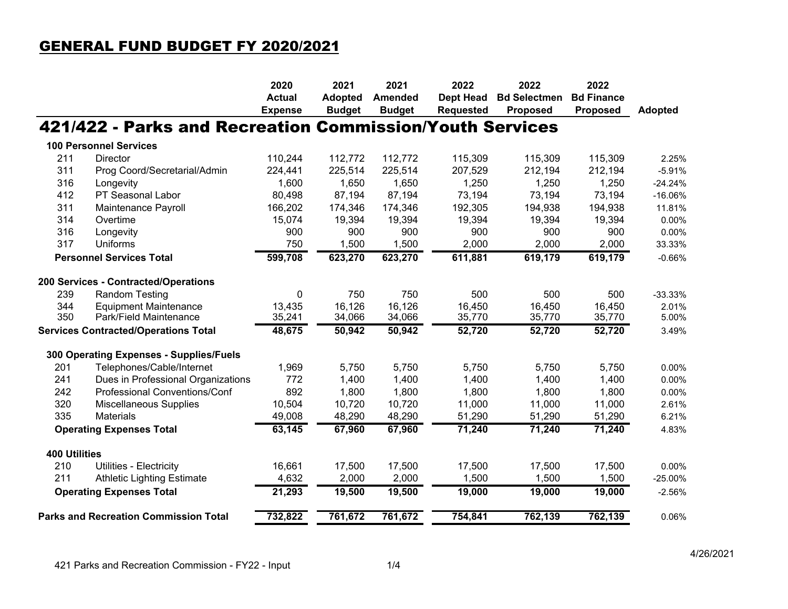## GENERAL FUND BUDGET FY 2020/2021

|                                             |                                                          | 2020           | 2021           | 2021           | 2022             | 2022                | 2022              |                |
|---------------------------------------------|----------------------------------------------------------|----------------|----------------|----------------|------------------|---------------------|-------------------|----------------|
|                                             |                                                          | <b>Actual</b>  | <b>Adopted</b> | <b>Amended</b> | <b>Dept Head</b> | <b>Bd Selectmen</b> | <b>Bd Finance</b> |                |
|                                             |                                                          | <b>Expense</b> | <b>Budget</b>  | <b>Budget</b>  | <b>Requested</b> | <b>Proposed</b>     | <b>Proposed</b>   | <b>Adopted</b> |
|                                             | 421/422 - Parks and Recreation Commission/Youth Services |                |                |                |                  |                     |                   |                |
|                                             | <b>100 Personnel Services</b>                            |                |                |                |                  |                     |                   |                |
| 211                                         | Director                                                 | 110,244        | 112,772        | 112,772        | 115,309          | 115,309             | 115,309           | 2.25%          |
| 311                                         | Prog Coord/Secretarial/Admin                             | 224,441        | 225,514        | 225,514        | 207,529          | 212,194             | 212,194           | $-5.91%$       |
| 316                                         | Longevity                                                | 1,600          | 1,650          | 1,650          | 1,250            | 1,250               | 1,250             | $-24.24%$      |
| 412                                         | PT Seasonal Labor                                        | 80,498         | 87,194         | 87,194         | 73,194           | 73,194              | 73,194            | $-16.06%$      |
| 311                                         | Maintenance Payroll                                      | 166,202        | 174,346        | 174,346        | 192,305          | 194,938             | 194,938           | 11.81%         |
| 314                                         | Overtime                                                 | 15,074         | 19,394         | 19,394         | 19,394           | 19,394              | 19,394            | 0.00%          |
| 316                                         | Longevity                                                | 900            | 900            | 900            | 900              | 900                 | 900               | 0.00%          |
| 317                                         | <b>Uniforms</b>                                          | 750            | 1,500          | 1,500          | 2,000            | 2,000               | 2,000             | 33.33%         |
| <b>Personnel Services Total</b>             |                                                          | 599,708        | 623,270        | 623,270        | 611,881          | 619,179             | 619,179           | $-0.66%$       |
|                                             | 200 Services - Contracted/Operations                     |                |                |                |                  |                     |                   |                |
| 239                                         | <b>Random Testing</b>                                    | 0              | 750            | 750            | 500              | 500                 | 500               | $-33.33%$      |
| 344                                         | <b>Equipment Maintenance</b>                             | 13,435         | 16,126         | 16,126         | 16,450           | 16,450              | 16,450            | 2.01%          |
| 350                                         | Park/Field Maintenance                                   | 35,241         | 34,066         | 34,066         | 35,770           | 35,770              | 35,770            | 5.00%          |
| <b>Services Contracted/Operations Total</b> |                                                          | 48,675         | 50,942         | 50,942         | 52,720           | 52,720              | 52,720            | 3.49%          |
|                                             | 300 Operating Expenses - Supplies/Fuels                  |                |                |                |                  |                     |                   |                |
| 201                                         | Telephones/Cable/Internet                                | 1,969          | 5,750          | 5,750          | 5,750            | 5,750               | 5,750             | 0.00%          |
| 241                                         | Dues in Professional Organizations                       | 772            | 1,400          | 1,400          | 1,400            | 1,400               | 1,400             | 0.00%          |
| 242                                         | Professional Conventions/Conf                            | 892            | 1,800          | 1,800          | 1,800            | 1,800               | 1,800             | 0.00%          |
| 320                                         | <b>Miscellaneous Supplies</b>                            | 10,504         | 10,720         | 10,720         | 11,000           | 11,000              | 11,000            | 2.61%          |
| 335                                         | <b>Materials</b>                                         | 49,008         | 48,290         | 48,290         | 51,290           | 51,290              | 51,290            | 6.21%          |
| <b>Operating Expenses Total</b>             |                                                          | 63,145         | 67,960         | 67,960         | 71,240           | 71,240              | 71,240            | 4.83%          |
| <b>400 Utilities</b>                        |                                                          |                |                |                |                  |                     |                   |                |
| 210                                         | Utilities - Electricity                                  | 16,661         | 17,500         | 17,500         | 17,500           | 17,500              | 17,500            | 0.00%          |
| 211                                         | <b>Athletic Lighting Estimate</b>                        | 4,632          | 2,000          | 2,000          | 1,500            | 1,500               | 1,500             | $-25.00%$      |
|                                             | <b>Operating Expenses Total</b>                          | 21,293         | 19,500         | 19,500         | 19,000           | 19,000              | 19,000            | $-2.56%$       |
|                                             | <b>Parks and Recreation Commission Total</b>             | 732,822        | 761,672        | 761,672        | 754,841          | 762,139             | 762,139           | 0.06%          |
|                                             |                                                          |                |                |                |                  |                     |                   |                |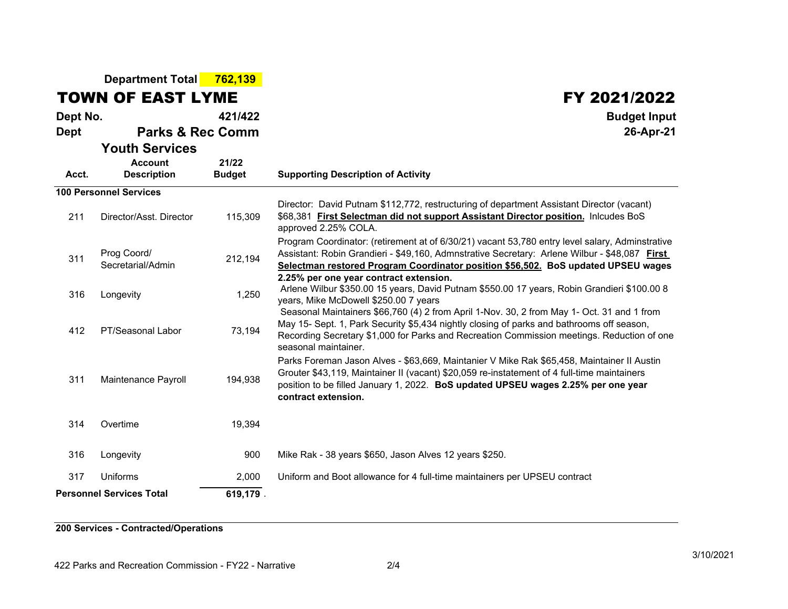|                                 | Department Total 762,139                                      |                        |                                                                                                                                                                                                                                                                                                               |  |  |  |
|---------------------------------|---------------------------------------------------------------|------------------------|---------------------------------------------------------------------------------------------------------------------------------------------------------------------------------------------------------------------------------------------------------------------------------------------------------------|--|--|--|
|                                 | <b>TOWN OF EAST LYME</b>                                      |                        | FY 2021/2022                                                                                                                                                                                                                                                                                                  |  |  |  |
| Dept No.                        |                                                               | 421/422                | <b>Budget Input</b>                                                                                                                                                                                                                                                                                           |  |  |  |
| <b>Dept</b>                     | <b>Parks &amp; Rec Comm</b>                                   |                        | 26-Apr-21                                                                                                                                                                                                                                                                                                     |  |  |  |
| Acct.                           | <b>Youth Services</b><br><b>Account</b><br><b>Description</b> | 21/22<br><b>Budget</b> | <b>Supporting Description of Activity</b>                                                                                                                                                                                                                                                                     |  |  |  |
|                                 | <b>100 Personnel Services</b>                                 |                        |                                                                                                                                                                                                                                                                                                               |  |  |  |
| 211                             | Director/Asst. Director                                       | 115,309                | Director: David Putnam \$112,772, restructuring of department Assistant Director (vacant)<br>\$68,381 First Selectman did not support Assistant Director position. Inlcudes BoS<br>approved 2.25% COLA.                                                                                                       |  |  |  |
| 311                             | Prog Coord/<br>Secretarial/Admin                              | 212,194                | Program Coordinator: (retirement at of 6/30/21) vacant 53,780 entry level salary, Adminstrative<br>Assistant: Robin Grandieri - \$49,160, Admnstrative Secretary: Arlene Wilbur - \$48,087 First<br>Selectman restored Program Coordinator position \$56,502. BoS updated UPSEU wages                         |  |  |  |
| 316                             | Longevity                                                     | 1,250                  | 2.25% per one year contract extension.<br>Arlene Wilbur \$350.00 15 years, David Putnam \$550.00 17 years, Robin Grandieri \$100.00 8<br>years, Mike McDowell \$250.00 7 years                                                                                                                                |  |  |  |
| 412                             | PT/Seasonal Labor                                             | 73,194                 | Seasonal Maintainers \$66,760 (4) 2 from April 1-Nov. 30, 2 from May 1- Oct. 31 and 1 from<br>May 15- Sept. 1, Park Security \$5,434 nightly closing of parks and bathrooms off season,<br>Recording Secretary \$1,000 for Parks and Recreation Commission meetings. Reduction of one<br>seasonal maintainer. |  |  |  |
| 311                             | Maintenance Payroll                                           | 194,938                | Parks Foreman Jason Alves - \$63,669, Maintanier V Mike Rak \$65,458, Maintainer II Austin<br>Grouter \$43,119, Maintainer II (vacant) \$20,059 re-instatement of 4 full-time maintainers<br>position to be filled January 1, 2022. BoS updated UPSEU wages 2.25% per one year<br>contract extension.         |  |  |  |
| 314                             | Overtime                                                      | 19,394                 |                                                                                                                                                                                                                                                                                                               |  |  |  |
| 316                             | Longevity                                                     | 900                    | Mike Rak - 38 years \$650, Jason Alves 12 years \$250.                                                                                                                                                                                                                                                        |  |  |  |
| 317                             | Uniforms                                                      | 2,000                  | Uniform and Boot allowance for 4 full-time maintainers per UPSEU contract                                                                                                                                                                                                                                     |  |  |  |
| <b>Personnel Services Total</b> |                                                               | 619,179.               |                                                                                                                                                                                                                                                                                                               |  |  |  |

**200 Services - Contracted/Operations**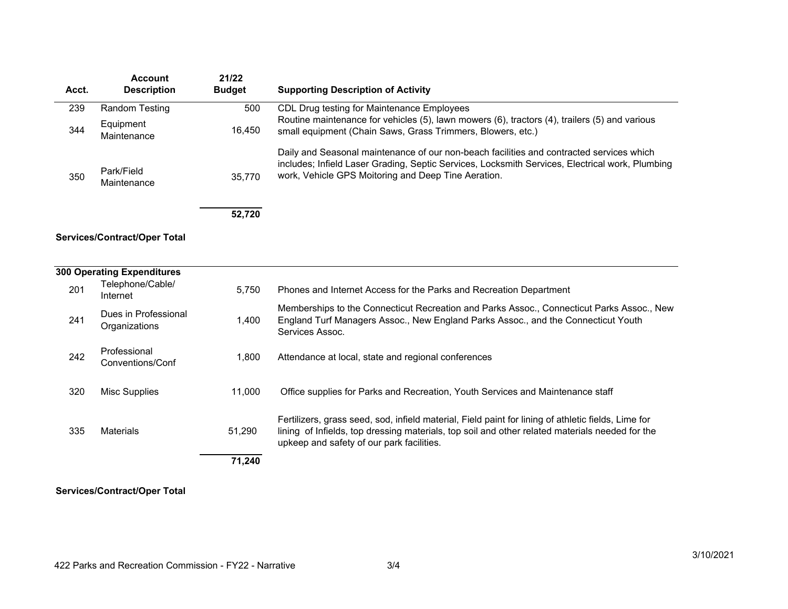| Acct. | <b>Account</b><br><b>Description</b>  | 21/22<br><b>Budget</b> | <b>Supporting Description of Activity</b>                                                                                                                                                                                                           |
|-------|---------------------------------------|------------------------|-----------------------------------------------------------------------------------------------------------------------------------------------------------------------------------------------------------------------------------------------------|
|       |                                       |                        |                                                                                                                                                                                                                                                     |
| 239   | <b>Random Testing</b>                 | 500                    | CDL Drug testing for Maintenance Employees                                                                                                                                                                                                          |
| 344   | Equipment<br>Maintenance              | 16,450                 | Routine maintenance for vehicles (5), lawn mowers (6), tractors (4), trailers (5) and various<br>small equipment (Chain Saws, Grass Trimmers, Blowers, etc.)                                                                                        |
| 350   | Park/Field<br>Maintenance             | 35,770                 | Daily and Seasonal maintenance of our non-beach facilities and contracted services which<br>includes; Infield Laser Grading, Septic Services, Locksmith Services, Electrical work, Plumbing<br>work, Vehicle GPS Moitoring and Deep Tine Aeration.  |
|       |                                       | 52,720                 |                                                                                                                                                                                                                                                     |
|       | <b>Services/Contract/Oper Total</b>   |                        |                                                                                                                                                                                                                                                     |
|       | <b>300 Operating Expenditures</b>     |                        |                                                                                                                                                                                                                                                     |
| 201   | Telephone/Cable/<br>Internet          | 5,750                  | Phones and Internet Access for the Parks and Recreation Department                                                                                                                                                                                  |
| 241   | Dues in Professional<br>Organizations | 1,400                  | Memberships to the Connecticut Recreation and Parks Assoc., Connecticut Parks Assoc., New<br>England Turf Managers Assoc., New England Parks Assoc., and the Connecticut Youth<br>Services Assoc.                                                   |
| 242   | Professional<br>Conventions/Conf      | 1,800                  | Attendance at local, state and regional conferences                                                                                                                                                                                                 |
| 320   | <b>Misc Supplies</b>                  | 11,000                 | Office supplies for Parks and Recreation, Youth Services and Maintenance staff                                                                                                                                                                      |
| 335   | <b>Materials</b>                      | 51,290                 | Fertilizers, grass seed, sod, infield material, Field paint for lining of athletic fields, Lime for<br>lining of Infields, top dressing materials, top soil and other related materials needed for the<br>upkeep and safety of our park facilities. |
|       |                                       | 71,240                 |                                                                                                                                                                                                                                                     |

## **Services/Contract/Oper Total**